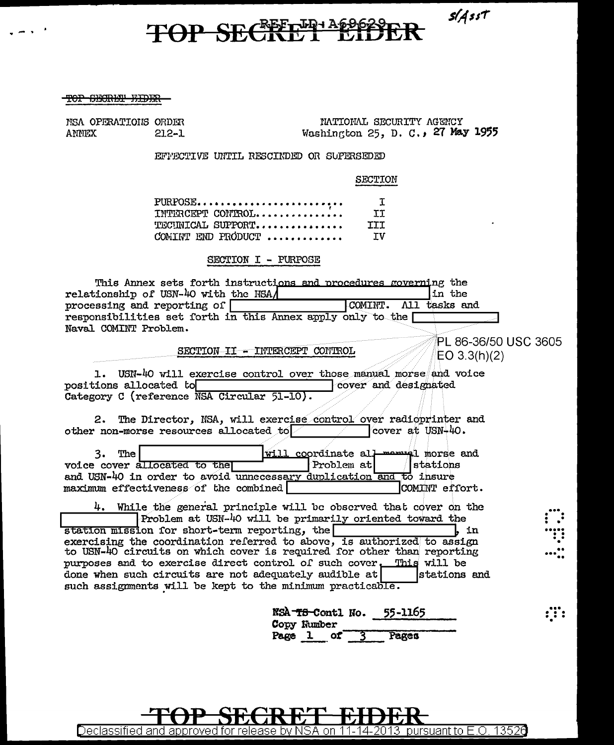$s/A$ sst

# TOP SECRET LESSES

#### **TOP CECH THE TOP**

NSA OPERATIONS ORDER ANNEX  $212 - 1$ 

INTIONAL SECURITY AGENCY Washington 25, D. C., 27 May 1955

EFFECTIVE UNTIL RESCIEDED OR SUPERSEDED

SECTION

| PURPOSE            |     |
|--------------------|-----|
| INTERCEPT CONTROL  | TI. |
| TECINICAL SUPPORT  | III |
| COMINT END PRODUCT | ΤV  |

### SECTION I - PURPOSE

| This Annex sets forth instructions and procedures governing the                                                                               |  |
|-----------------------------------------------------------------------------------------------------------------------------------------------|--|
| relationship of USN-40 with the NSA/<br>in the                                                                                                |  |
| COMINT.<br>All tasks and<br>processing and reporting of                                                                                       |  |
| responsibilities set forth in this Annex apply only to the                                                                                    |  |
| Naval COMINT Problem.                                                                                                                         |  |
| PL 86-36/50 USC 3605                                                                                                                          |  |
| SECTION II - INTERCEPT CONTROL<br>EO 3.3(h)(2)                                                                                                |  |
|                                                                                                                                               |  |
| USN-40 will exercise control over those manual morse and voice<br>1.<br>positions allocated to<br>cover and designated                        |  |
| Category C (reference NSA Circular 51-10).                                                                                                    |  |
|                                                                                                                                               |  |
| 2. The Director, NSA, will exercise control over radioprinter and                                                                             |  |
| cover at USN-40.<br>other non-morse resources allocated to                                                                                    |  |
|                                                                                                                                               |  |
| will coordinate all mormer morse and<br>3.<br>The                                                                                             |  |
| Problem at<br>stations<br>voice cover allocated to the                                                                                        |  |
| and USN-40 in order to avoid unnecessary duplication and to insure<br>maximum effectiveness of the combined<br>COMINT effort.                 |  |
|                                                                                                                                               |  |
| 4. While the general principle will be observed that cover on the                                                                             |  |
| Problem at USN-40 will be primarily oriented toward the                                                                                       |  |
| station mission for short-term reporting, the<br>in                                                                                           |  |
| exercising the coordination referred to above, is authorized to assign                                                                        |  |
| to USN-40 circuits on which cover is required for other than reporting<br>purposes and to exercise direct control of such cover. This will be |  |
| done when such circuits are not adequately audible at<br>stations and                                                                         |  |
| such assignments will be kept to the minimum practicable.                                                                                     |  |
|                                                                                                                                               |  |
| 55-1165<br>NSA- <del>TS-</del> Contl No.                                                                                                      |  |
|                                                                                                                                               |  |

|        | NSA-T8-Contl No. | 55-1165 | . .<br>. .<br>. . |
|--------|------------------|---------|-------------------|
|        | Copy Number      |         |                   |
| Page 1 | of.              | Pages   |                   |

Declassified and approved for release by NSA on 11-14-2013 pursuant to E.O. 13526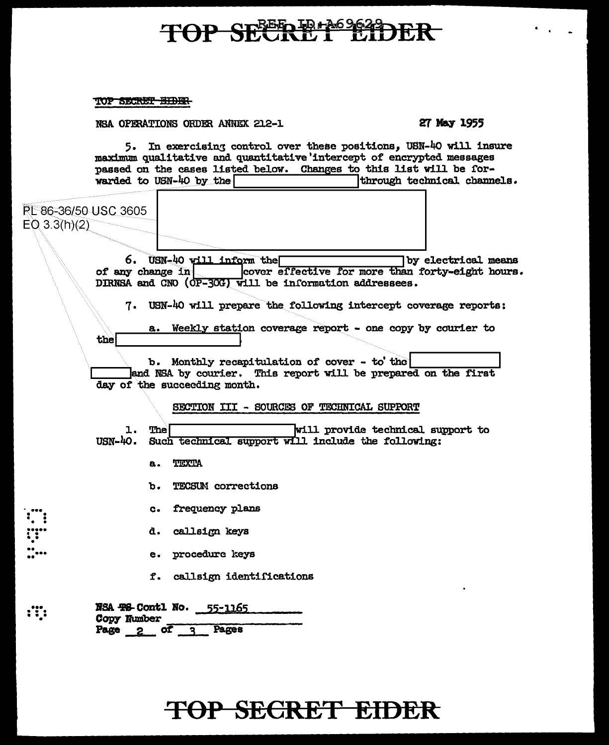# TOP SEERE THOSE TO

### TOP SECRET BIDER

NSA OPERATIONS ORDER ANNEX 212-1

27 May 1955

5. In exercising control over these positions, USN-40 will insure maximum qualitative and quantitative intercept of encrypted messages passed on the cases listed below. Changes to this list will be forwarded to USN-40 by the through technical channels.

| RL 86-36/50 USC 3605                 |  |
|--------------------------------------|--|
| $EQ$ 3.3(h)(2)                       |  |
|                                      |  |
| USN-40<br>6.                         |  |
| of any change in<br>DIRNSA and CNO ( |  |
| USN-40<br>7.                         |  |
| Wee:                                 |  |
|                                      |  |

 $\dddot{...}$ 

by electrical means rill inform the cover effective for more than forty-eight hours. OP-30G) will be information addressees.

will prepare the following intercept coverage reports:

kly station coverage report - one copy by courier to

b. Monthly recapitulation of cover - to the and NSA by courier. This report will be prepared on the first day of the succeeding month.

### SECTION III - SOURCES OF TECHNICAL SUPPORT

will provide technical support to ı. The USN-40. Such technical support will include the following:

- TEXTA а.
- **TECSUM** corrections b.
- frequency plans  $c<sub>1</sub>$
- d. callsign keys
- procedure keys e.
- f. callsign identifications

|      | NSA 418-Contl No.<br>Copy Number |           | 55-1165 |  |
|------|----------------------------------|-----------|---------|--|
| Page |                                  | <b>ot</b> | Pages   |  |

# TOP SECRET EIDER